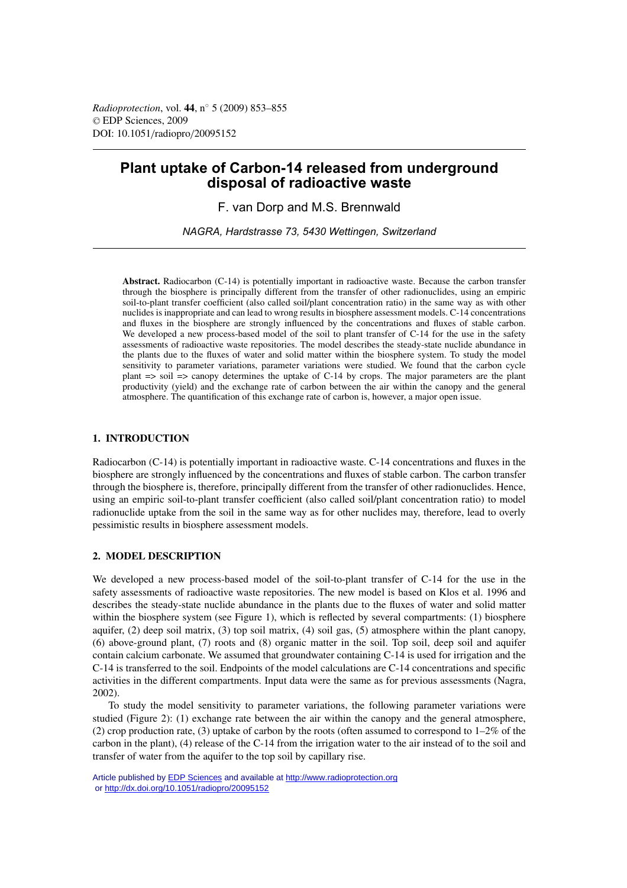*Radioprotection*, vol. **44**, n◦ 5 (2009) 853–855 © EDP Sciences, 2009 DOI: 10.1051/radiopro/20095152

# **Plant uptake of Carbon-14 released from underground disposal of radioactive waste**

F. van Dorp and M.S. Brennwald

*NAGRA, Hardstrasse 73, 5430 Wettingen, Switzerland*

**Abstract.** Radiocarbon (C-14) is potentially important in radioactive waste. Because the carbon transfer through the biosphere is principally different from the transfer of other radionuclides, using an empiric soil-to-plant transfer coefficient (also called soil/plant concentration ratio) in the same way as with other nuclides is inappropriate and can lead to wrong results in biosphere assessment models. C-14 concentrations and fluxes in the biosphere are strongly influenced by the concentrations and fluxes of stable carbon. We developed a new process-based model of the soil to plant transfer of C-14 for the use in the safety assessments of radioactive waste repositories. The model describes the steady-state nuclide abundance in the plants due to the fluxes of water and solid matter within the biosphere system. To study the model sensitivity to parameter variations, parameter variations were studied. We found that the carbon cycle plant  $\Rightarrow$  soil  $\Rightarrow$  canopy determines the uptake of C-14 by crops. The major parameters are the plant productivity (yield) and the exchange rate of carbon between the air within the canopy and the general atmosphere. The quantification of this exchange rate of carbon is, however, a major open issue.

### **1. INTRODUCTION**

Radiocarbon (C-14) is potentially important in radioactive waste. C-14 concentrations and fluxes in the biosphere are strongly influenced by the concentrations and fluxes of stable carbon. The carbon transfer through the biosphere is, therefore, principally different from the transfer of other radionuclides. Hence, using an empiric soil-to-plant transfer coefficient (also called soil/plant concentration ratio) to model radionuclide uptake from the soil in the same way as for other nuclides may, therefore, lead to overly pessimistic results in biosphere assessment models.

#### **2. MODEL DESCRIPTION**

We developed a new process-based model of the soil-to-plant transfer of C-14 for the use in the safety assessments of radioactive waste repositories. The new model is based on Klos et al. 1996 and describes the steady-state nuclide abundance in the plants due to the fluxes of water and solid matter within the biosphere system (see Figure 1), which is reflected by several compartments: (1) biosphere aquifer,  $(2)$  deep soil matrix,  $(3)$  top soil matrix,  $(4)$  soil gas,  $(5)$  atmosphere within the plant canopy, (6) above-ground plant, (7) roots and (8) organic matter in the soil. Top soil, deep soil and aquifer contain calcium carbonate. We assumed that groundwater containing C-14 is used for irrigation and the C-14 is transferred to the soil. Endpoints of the model calculations are C-14 concentrations and specific activities in the different compartments. Input data were the same as for previous assessments (Nagra, 2002).

To study the model sensitivity to parameter variations, the following parameter variations were studied (Figure 2): (1) exchange rate between the air within the canopy and the general atmosphere, (2) crop production rate, (3) uptake of carbon by the roots (often assumed to correspond to  $1-2\%$  of the carbon in the plant), (4) release of the C-14 from the irrigation water to the air instead of to the soil and transfer of water from the aquifer to the top soil by capillary rise.

Article published by [EDP Sciences](http://www.edpsciences.org) and available at<http://www.radioprotection.org> or <http://dx.doi.org/10.1051/radiopro/20095152>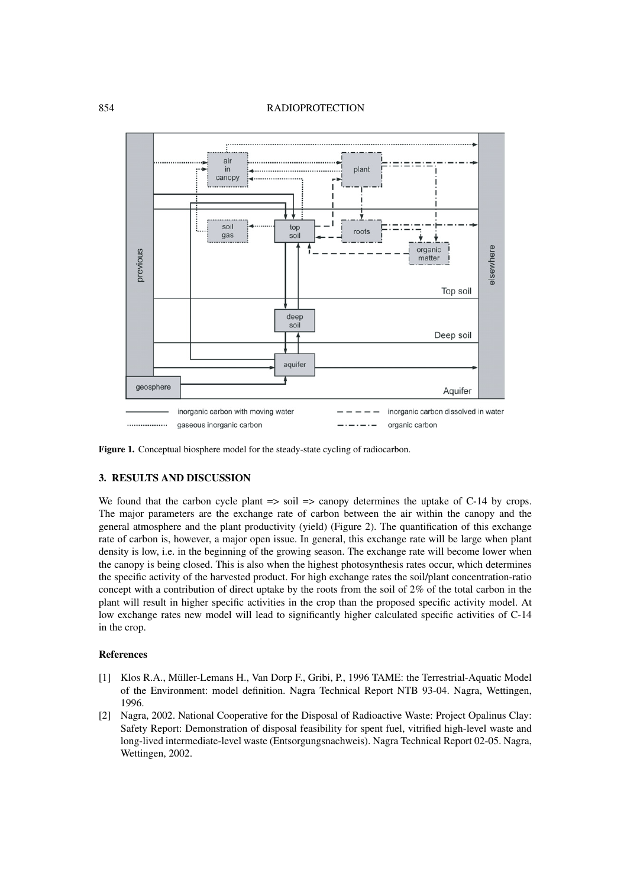### 854 RADIOPROTECTION



**Figure 1.** Conceptual biosphere model for the steady-state cycling of radiocarbon.

## **3. RESULTS AND DISCUSSION**

We found that the carbon cycle plant  $\Rightarrow$  soil  $\Rightarrow$  canopy determines the uptake of C-14 by crops. The major parameters are the exchange rate of carbon between the air within the canopy and the general atmosphere and the plant productivity (yield) (Figure 2). The quantification of this exchange rate of carbon is, however, a major open issue. In general, this exchange rate will be large when plant density is low, i.e. in the beginning of the growing season. The exchange rate will become lower when the canopy is being closed. This is also when the highest photosynthesis rates occur, which determines the specific activity of the harvested product. For high exchange rates the soil/plant concentration-ratio concept with a contribution of direct uptake by the roots from the soil of 2% of the total carbon in the plant will result in higher specific activities in the crop than the proposed specific activity model. At low exchange rates new model will lead to significantly higher calculated specific activities of C-14 in the crop.

## **References**

- [1] Klos R.A., Müller-Lemans H., Van Dorp F., Gribi, P., 1996 TAME: the Terrestrial-Aquatic Model of the Environment: model definition. Nagra Technical Report NTB 93-04. Nagra, Wettingen, 1996.
- [2] Nagra, 2002. National Cooperative for the Disposal of Radioactive Waste: Project Opalinus Clay: Safety Report: Demonstration of disposal feasibility for spent fuel, vitrified high-level waste and long-lived intermediate-level waste (Entsorgungsnachweis). Nagra Technical Report 02-05. Nagra, Wettingen, 2002.